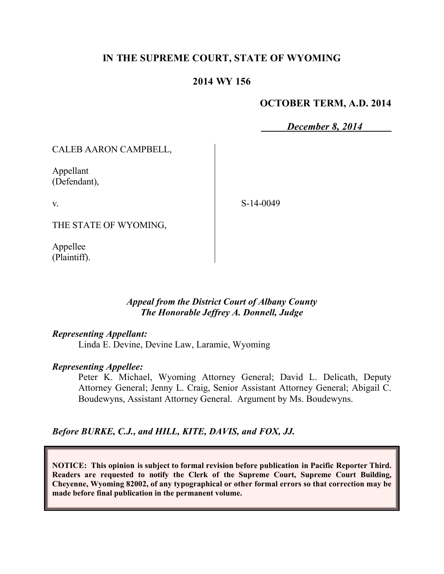# **IN THE SUPREME COURT, STATE OF WYOMING**

### **2014 WY 156**

### **OCTOBER TERM, A.D. 2014**

*December 8, 2014*

CALEB AARON CAMPBELL,

Appellant (Defendant),

v.

S-14-0049

THE STATE OF WYOMING,

Appellee (Plaintiff).

#### *Appeal from the District Court of Albany County The Honorable Jeffrey A. Donnell, Judge*

#### *Representing Appellant:*

Linda E. Devine, Devine Law, Laramie, Wyoming

#### *Representing Appellee:*

Peter K. Michael, Wyoming Attorney General; David L. Delicath, Deputy Attorney General; Jenny L. Craig, Senior Assistant Attorney General; Abigail C. Boudewyns, Assistant Attorney General. Argument by Ms. Boudewyns.

*Before BURKE, C.J., and HILL, KITE, DAVIS, and FOX, JJ.*

**NOTICE: This opinion is subject to formal revision before publication in Pacific Reporter Third. Readers are requested to notify the Clerk of the Supreme Court, Supreme Court Building, Cheyenne, Wyoming 82002, of any typographical or other formal errors so that correction may be made before final publication in the permanent volume.**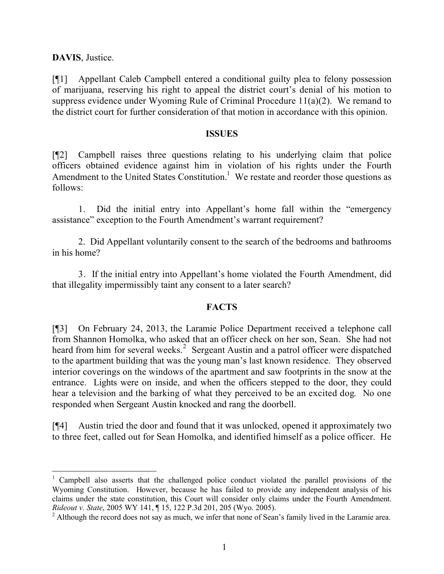**DAVIS**, Justice.

[¶1] Appellant Caleb Campbell entered a conditional guilty plea to felony possession of marijuana, reserving his right to appeal the district court's denial of his motion to suppress evidence under Wyoming Rule of Criminal Procedure 11(a)(2). We remand to the district court for further consideration of that motion in accordance with this opinion.

#### **ISSUES**

[¶2] Campbell raises three questions relating to his underlying claim that police officers obtained evidence against him in violation of his rights under the Fourth Amendment to the United States Constitution.<sup>1</sup> We restate and reorder those questions as follows:

1. Did the initial entry into Appellant's home fall within the "emergency assistance" exception to the Fourth Amendment's warrant requirement?

2. Did Appellant voluntarily consent to the search of the bedrooms and bathrooms in his home?

3. If the initial entry into Appellant's home violated the Fourth Amendment, did that illegality impermissibly taint any consent to a later search?

## **FACTS**

[¶3] On February 24, 2013, the Laramie Police Department received a telephone call from Shannon Homolka, who asked that an officer check on her son, Sean. She had not heard from him for several weeks.<sup>2</sup> Sergeant Austin and a patrol officer were dispatched to the apartment building that was the young man's last known residence. They observed interior coverings on the windows of the apartment and saw footprints in the snow at the entrance. Lights were on inside, and when the officers stepped to the door, they could hear a television and the barking of what they perceived to be an excited dog. No one responded when Sergeant Austin knocked and rang the doorbell.

[¶4] Austin tried the door and found that it was unlocked, opened it approximately two to three feet, called out for Sean Homolka, and identified himself as a police officer. He

<sup>&</sup>lt;sup>1</sup> Campbell also asserts that the challenged police conduct violated the parallel provisions of the Wyoming Constitution. However, because he has failed to provide any independent analysis of his claims under the state constitution, this Court will consider only claims under the Fourth Amendment. *Rideout v. State*, 2005 WY 141, ¶ 15, 122 P.3d 201, 205 (Wyo. 2005).

<sup>&</sup>lt;sup>2</sup> Although the record does not say as much, we infer that none of Sean's family lived in the Laramie area.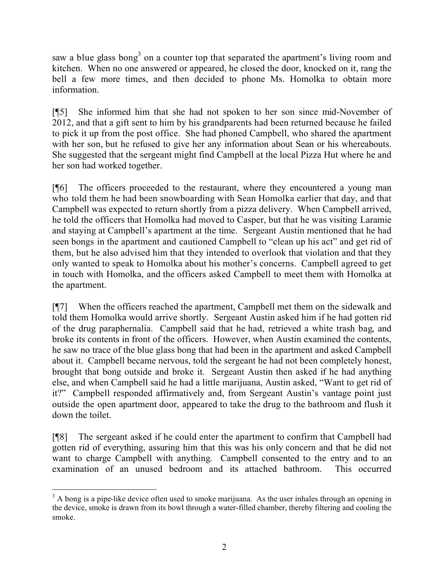saw a blue glass bong<sup>3</sup> on a counter top that separated the apartment's living room and kitchen. When no one answered or appeared, he closed the door, knocked on it, rang the bell a few more times, and then decided to phone Ms. Homolka to obtain more information.

[¶5] She informed him that she had not spoken to her son since mid-November of 2012, and that a gift sent to him by his grandparents had been returned because he failed to pick it up from the post office. She had phoned Campbell, who shared the apartment with her son, but he refused to give her any information about Sean or his whereabouts. She suggested that the sergeant might find Campbell at the local Pizza Hut where he and her son had worked together.

[¶6] The officers proceeded to the restaurant, where they encountered a young man who told them he had been snowboarding with Sean Homolka earlier that day, and that Campbell was expected to return shortly from a pizza delivery. When Campbell arrived, he told the officers that Homolka had moved to Casper, but that he was visiting Laramie and staying at Campbell's apartment at the time. Sergeant Austin mentioned that he had seen bongs in the apartment and cautioned Campbell to "clean up his act" and get rid of them, but he also advised him that they intended to overlook that violation and that they only wanted to speak to Homolka about his mother's concerns. Campbell agreed to get in touch with Homolka, and the officers asked Campbell to meet them with Homolka at the apartment.

[¶7] When the officers reached the apartment, Campbell met them on the sidewalk and told them Homolka would arrive shortly. Sergeant Austin asked him if he had gotten rid of the drug paraphernalia. Campbell said that he had, retrieved a white trash bag, and broke its contents in front of the officers. However, when Austin examined the contents, he saw no trace of the blue glass bong that had been in the apartment and asked Campbell about it. Campbell became nervous, told the sergeant he had not been completely honest, brought that bong outside and broke it. Sergeant Austin then asked if he had anything else, and when Campbell said he had a little marijuana, Austin asked, "Want to get rid of it?" Campbell responded affirmatively and, from Sergeant Austin's vantage point just outside the open apartment door, appeared to take the drug to the bathroom and flush it down the toilet.

[¶8] The sergeant asked if he could enter the apartment to confirm that Campbell had gotten rid of everything, assuring him that this was his only concern and that he did not want to charge Campbell with anything. Campbell consented to the entry and to an examination of an unused bedroom and its attached bathroom. This occurred

 <sup>3</sup> A bong is a pipe-like device often used to smoke marijuana. As the user inhales through an opening in the device, smoke is drawn from its bowl through a water-filled chamber, thereby filtering and cooling the smoke.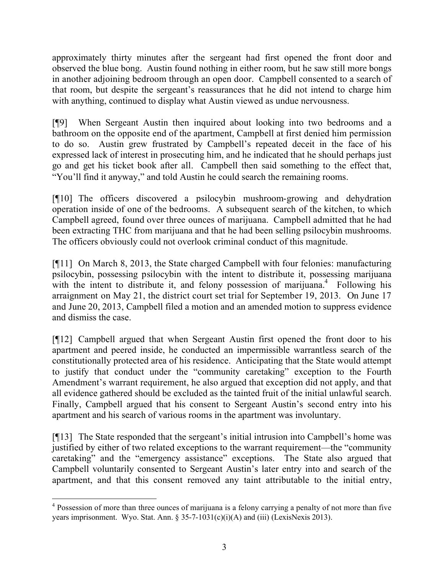approximately thirty minutes after the sergeant had first opened the front door and observed the blue bong. Austin found nothing in either room, but he saw still more bongs in another adjoining bedroom through an open door. Campbell consented to a search of that room, but despite the sergeant's reassurances that he did not intend to charge him with anything, continued to display what Austin viewed as undue nervousness.

[¶9] When Sergeant Austin then inquired about looking into two bedrooms and a bathroom on the opposite end of the apartment, Campbell at first denied him permission to do so. Austin grew frustrated by Campbell's repeated deceit in the face of his expressed lack of interest in prosecuting him, and he indicated that he should perhaps just go and get his ticket book after all. Campbell then said something to the effect that, "You'll find it anyway," and told Austin he could search the remaining rooms.

[¶10] The officers discovered a psilocybin mushroom-growing and dehydration operation inside of one of the bedrooms. A subsequent search of the kitchen, to which Campbell agreed, found over three ounces of marijuana. Campbell admitted that he had been extracting THC from marijuana and that he had been selling psilocybin mushrooms. The officers obviously could not overlook criminal conduct of this magnitude.

[¶11] On March 8, 2013, the State charged Campbell with four felonies: manufacturing psilocybin, possessing psilocybin with the intent to distribute it, possessing marijuana with the intent to distribute it, and felony possession of marijuana.<sup>4</sup> Following his arraignment on May 21, the district court set trial for September 19, 2013. On June 17 and June 20, 2013, Campbell filed a motion and an amended motion to suppress evidence and dismiss the case.

[¶12] Campbell argued that when Sergeant Austin first opened the front door to his apartment and peered inside, he conducted an impermissible warrantless search of the constitutionally protected area of his residence. Anticipating that the State would attempt to justify that conduct under the "community caretaking" exception to the Fourth Amendment's warrant requirement, he also argued that exception did not apply, and that all evidence gathered should be excluded as the tainted fruit of the initial unlawful search. Finally, Campbell argued that his consent to Sergeant Austin's second entry into his apartment and his search of various rooms in the apartment was involuntary.

[¶13] The State responded that the sergeant's initial intrusion into Campbell's home was justified by either of two related exceptions to the warrant requirement—the "community caretaking" and the "emergency assistance" exceptions. The State also argued that Campbell voluntarily consented to Sergeant Austin's later entry into and search of the apartment, and that this consent removed any taint attributable to the initial entry,

<sup>&</sup>lt;sup>4</sup> Possession of more than three ounces of marijuana is a felony carrying a penalty of not more than five years imprisonment. Wyo. Stat. Ann. § 35-7-1031(c)(i)(A) and (iii) (LexisNexis 2013).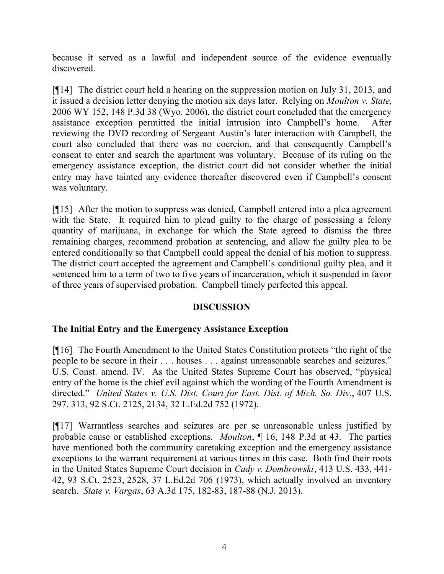because it served as a lawful and independent source of the evidence eventually discovered.

[¶14] The district court held a hearing on the suppression motion on July 31, 2013, and it issued a decision letter denying the motion six days later. Relying on *Moulton v. State*, 2006 WY 152, 148 P.3d 38 (Wyo. 2006), the district court concluded that the emergency assistance exception permitted the initial intrusion into Campbell's home. After reviewing the DVD recording of Sergeant Austin's later interaction with Campbell, the court also concluded that there was no coercion, and that consequently Campbell's consent to enter and search the apartment was voluntary. Because of its ruling on the emergency assistance exception, the district court did not consider whether the initial entry may have tainted any evidence thereafter discovered even if Campbell's consent was voluntary.

[¶15] After the motion to suppress was denied, Campbell entered into a plea agreement with the State. It required him to plead guilty to the charge of possessing a felony quantity of marijuana, in exchange for which the State agreed to dismiss the three remaining charges, recommend probation at sentencing, and allow the guilty plea to be entered conditionally so that Campbell could appeal the denial of his motion to suppress. The district court accepted the agreement and Campbell's conditional guilty plea, and it sentenced him to a term of two to five years of incarceration, which it suspended in favor of three years of supervised probation. Campbell timely perfected this appeal.

## **DISCUSSION**

# **The Initial Entry and the Emergency Assistance Exception**

[¶16] The Fourth Amendment to the United States Constitution protects "the right of the people to be secure in their . . . houses . . . against unreasonable searches and seizures." U.S. Const. amend. IV. As the United States Supreme Court has observed, "physical entry of the home is the chief evil against which the wording of the Fourth Amendment is directed." *United States v. U.S. Dist. Court for East. Dist. of Mich. So. Div.*, 407 U.S. 297, 313, 92 S.Ct. 2125, 2134, 32 L.Ed.2d 752 (1972).

[¶17] Warrantless searches and seizures are per se unreasonable unless justified by probable cause or established exceptions. *Moulton*, ¶ 16, 148 P.3d at 43. The parties have mentioned both the community caretaking exception and the emergency assistance exceptions to the warrant requirement at various times in this case. Both find their roots in the United States Supreme Court decision in *Cady v. Dombrowski*, 413 U.S. 433, 441- 42, 93 S.Ct. 2523, 2528, 37 L.Ed.2d 706 (1973), which actually involved an inventory search. *State v. Vargas*, 63 A.3d 175, 182-83, 187-88 (N.J. 2013).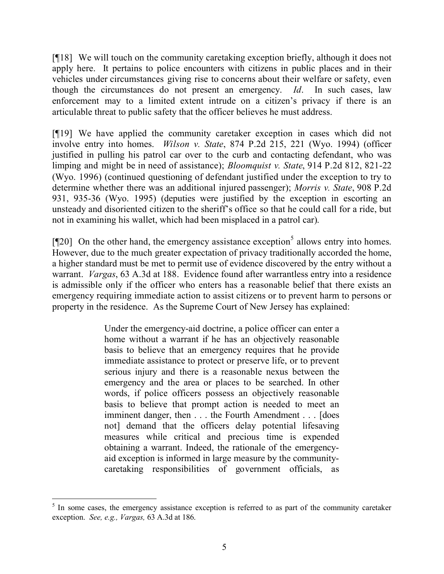[¶18] We will touch on the community caretaking exception briefly, although it does not apply here. It pertains to police encounters with citizens in public places and in their vehicles under circumstances giving rise to concerns about their welfare or safety, even though the circumstances do not present an emergency. *Id*. In such cases, law enforcement may to a limited extent intrude on a citizen's privacy if there is an articulable threat to public safety that the officer believes he must address.

[¶19] We have applied the community caretaker exception in cases which did not involve entry into homes. *Wilson v. State*, 874 P.2d 215, 221 (Wyo. 1994) (officer justified in pulling his patrol car over to the curb and contacting defendant, who was limping and might be in need of assistance); *Bloomquist v. State*, 914 P.2d 812, 821-22 (Wyo. 1996) (continued questioning of defendant justified under the exception to try to determine whether there was an additional injured passenger); *Morris v. State*, 908 P.2d 931, 935-36 (Wyo. 1995) (deputies were justified by the exception in escorting an unsteady and disoriented citizen to the sheriff's office so that he could call for a ride, but not in examining his wallet, which had been misplaced in a patrol car).

[ $[120]$  On the other hand, the emergency assistance exception<sup>5</sup> allows entry into homes. However, due to the much greater expectation of privacy traditionally accorded the home, a higher standard must be met to permit use of evidence discovered by the entry without a warrant. *Vargas*, 63 A.3d at 188. Evidence found after warrantless entry into a residence is admissible only if the officer who enters has a reasonable belief that there exists an emergency requiring immediate action to assist citizens or to prevent harm to persons or property in the residence. As the Supreme Court of New Jersey has explained:

> Under the emergency-aid doctrine, a police officer can enter a home without a warrant if he has an objectively reasonable basis to believe that an emergency requires that he provide immediate assistance to protect or preserve life, or to prevent serious injury and there is a reasonable nexus between the emergency and the area or places to be searched. In other words, if police officers possess an objectively reasonable basis to believe that prompt action is needed to meet an imminent danger, then . . . the Fourth Amendment . . . [does not] demand that the officers delay potential lifesaving measures while critical and precious time is expended obtaining a warrant. Indeed, the rationale of the emergencyaid exception is informed in large measure by the communitycaretaking responsibilities of government officials, as

<sup>&</sup>lt;sup>5</sup> In some cases, the emergency assistance exception is referred to as part of the community caretaker exception. *See, e.g., Vargas,* 63 A.3d at 186.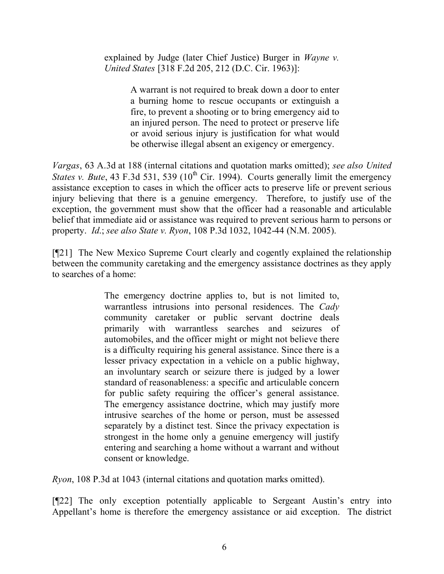explained by Judge (later Chief Justice) Burger in *Wayne v. United States* [318 F.2d 205, 212 (D.C. Cir. 1963)]:

> A warrant is not required to break down a door to enter a burning home to rescue occupants or extinguish a fire, to prevent a shooting or to bring emergency aid to an injured person. The need to protect or preserve life or avoid serious injury is justification for what would be otherwise illegal absent an exigency or emergency.

*Vargas*, 63 A.3d at 188 (internal citations and quotation marks omitted); *see also United States v. Bute*, 43 F.3d 531, 539 ( $10^{th}$  Cir. 1994). Courts generally limit the emergency assistance exception to cases in which the officer acts to preserve life or prevent serious injury believing that there is a genuine emergency. Therefore, to justify use of the exception, the government must show that the officer had a reasonable and articulable belief that immediate aid or assistance was required to prevent serious harm to persons or property. *Id*.; *see also State v. Ryon*, 108 P.3d 1032, 1042-44 (N.M. 2005).

[¶21] The New Mexico Supreme Court clearly and cogently explained the relationship between the community caretaking and the emergency assistance doctrines as they apply to searches of a home:

> The emergency doctrine applies to, but is not limited to, warrantless intrusions into personal residences. The *Cady* community caretaker or public servant doctrine deals primarily with warrantless searches and seizures of automobiles, and the officer might or might not believe there is a difficulty requiring his general assistance. Since there is a lesser privacy expectation in a vehicle on a public highway, an involuntary search or seizure there is judged by a lower standard of reasonableness: a specific and articulable concern for public safety requiring the officer's general assistance. The emergency assistance doctrine, which may justify more intrusive searches of the home or person, must be assessed separately by a distinct test. Since the privacy expectation is strongest in the home only a genuine emergency will justify entering and searching a home without a warrant and without consent or knowledge.

*Ryon*, 108 P.3d at 1043 (internal citations and quotation marks omitted).

[¶22] The only exception potentially applicable to Sergeant Austin's entry into Appellant's home is therefore the emergency assistance or aid exception. The district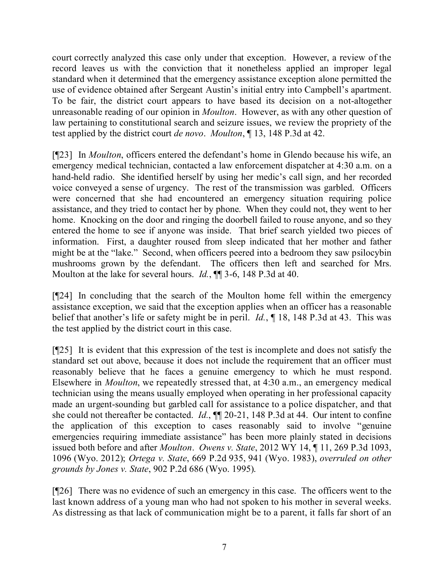court correctly analyzed this case only under that exception. However, a review of the record leaves us with the conviction that it nonetheless applied an improper legal standard when it determined that the emergency assistance exception alone permitted the use of evidence obtained after Sergeant Austin's initial entry into Campbell's apartment. To be fair, the district court appears to have based its decision on a not-altogether unreasonable reading of our opinion in *Moulton*. However, as with any other question of law pertaining to constitutional search and seizure issues, we review the propriety of the test applied by the district court *de novo*. *Moulton*, ¶ 13, 148 P.3d at 42.

[¶23] In *Moulton*, officers entered the defendant's home in Glendo because his wife, an emergency medical technician, contacted a law enforcement dispatcher at 4:30 a.m. on a hand-held radio. She identified herself by using her medic's call sign, and her recorded voice conveyed a sense of urgency. The rest of the transmission was garbled. Officers were concerned that she had encountered an emergency situation requiring police assistance, and they tried to contact her by phone. When they could not, they went to her home. Knocking on the door and ringing the doorbell failed to rouse anyone, and so they entered the home to see if anyone was inside. That brief search yielded two pieces of information. First, a daughter roused from sleep indicated that her mother and father might be at the "lake." Second, when officers peered into a bedroom they saw psilocybin mushrooms grown by the defendant. The officers then left and searched for Mrs. Moulton at the lake for several hours. *Id.*, ¶¶ 3-6, 148 P.3d at 40.

[¶24] In concluding that the search of the Moulton home fell within the emergency assistance exception, we said that the exception applies when an officer has a reasonable belief that another's life or safety might be in peril. *Id.*, ¶ 18, 148 P.3d at 43. This was the test applied by the district court in this case.

[¶25] It is evident that this expression of the test is incomplete and does not satisfy the standard set out above, because it does not include the requirement that an officer must reasonably believe that he faces a genuine emergency to which he must respond. Elsewhere in *Moulton*, we repeatedly stressed that, at 4:30 a.m., an emergency medical technician using the means usually employed when operating in her professional capacity made an urgent-sounding but garbled call for assistance to a police dispatcher, and that she could not thereafter be contacted. *Id.*, ¶¶ 20-21, 148 P.3d at 44. Our intent to confine the application of this exception to cases reasonably said to involve "genuine emergencies requiring immediate assistance" has been more plainly stated in decisions issued both before and after *Moulton*. *Owens v. State*, 2012 WY 14, ¶ 11, 269 P.3d 1093, 1096 (Wyo. 2012); *Ortega v. State*, 669 P.2d 935, 941 (Wyo. 1983), *overruled on other grounds by Jones v. State*, 902 P.2d 686 (Wyo. 1995).

[¶26] There was no evidence of such an emergency in this case. The officers went to the last known address of a young man who had not spoken to his mother in several weeks. As distressing as that lack of communication might be to a parent, it falls far short of an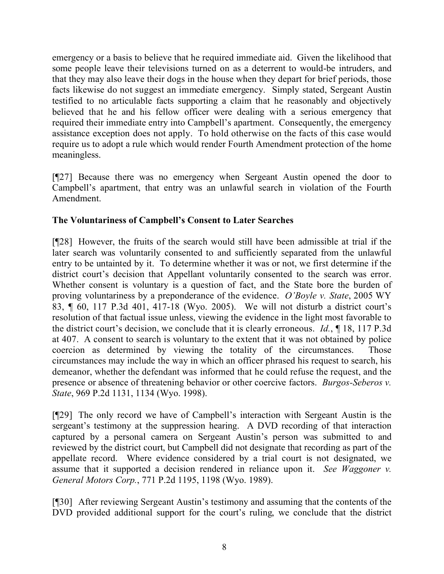emergency or a basis to believe that he required immediate aid. Given the likelihood that some people leave their televisions turned on as a deterrent to would-be intruders, and that they may also leave their dogs in the house when they depart for brief periods, those facts likewise do not suggest an immediate emergency. Simply stated, Sergeant Austin testified to no articulable facts supporting a claim that he reasonably and objectively believed that he and his fellow officer were dealing with a serious emergency that required their immediate entry into Campbell's apartment. Consequently, the emergency assistance exception does not apply. To hold otherwise on the facts of this case would require us to adopt a rule which would render Fourth Amendment protection of the home meaningless.

[¶27] Because there was no emergency when Sergeant Austin opened the door to Campbell's apartment, that entry was an unlawful search in violation of the Fourth Amendment.

# **The Voluntariness of Campbell's Consent to Later Searches**

[¶28] However, the fruits of the search would still have been admissible at trial if the later search was voluntarily consented to and sufficiently separated from the unlawful entry to be untainted by it. To determine whether it was or not, we first determine if the district court's decision that Appellant voluntarily consented to the search was error. Whether consent is voluntary is a question of fact, and the State bore the burden of proving voluntariness by a preponderance of the evidence. *O'Boyle v. State*, 2005 WY 83, ¶ 60, 117 P.3d 401, 417-18 (Wyo. 2005). We will not disturb a district court's resolution of that factual issue unless, viewing the evidence in the light most favorable to the district court's decision, we conclude that it is clearly erroneous. *Id.*, ¶ 18, 117 P.3d at 407. A consent to search is voluntary to the extent that it was not obtained by police coercion as determined by viewing the totality of the circumstances. Those circumstances may include the way in which an officer phrased his request to search, his demeanor, whether the defendant was informed that he could refuse the request, and the presence or absence of threatening behavior or other coercive factors. *Burgos-Seberos v. State*, 969 P.2d 1131, 1134 (Wyo. 1998).

[¶29] The only record we have of Campbell's interaction with Sergeant Austin is the sergeant's testimony at the suppression hearing. A DVD recording of that interaction captured by a personal camera on Sergeant Austin's person was submitted to and reviewed by the district court, but Campbell did not designate that recording as part of the appellate record. Where evidence considered by a trial court is not designated, we assume that it supported a decision rendered in reliance upon it. *See Waggoner v. General Motors Corp.*, 771 P.2d 1195, 1198 (Wyo. 1989).

[¶30] After reviewing Sergeant Austin's testimony and assuming that the contents of the DVD provided additional support for the court's ruling, we conclude that the district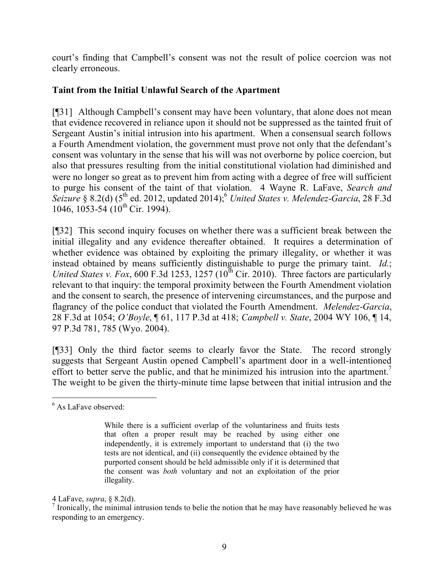court's finding that Campbell's consent was not the result of police coercion was not clearly erroneous.

# **Taint from the Initial Unlawful Search of the Apartment**

[¶31] Although Campbell's consent may have been voluntary, that alone does not mean that evidence recovered in reliance upon it should not be suppressed as the tainted fruit of Sergeant Austin's initial intrusion into his apartment. When a consensual search follows a Fourth Amendment violation, the government must prove not only that the defendant's consent was voluntary in the sense that his will was not overborne by police coercion, but also that pressures resulting from the initial constitutional violation had diminished and were no longer so great as to prevent him from acting with a degree of free will sufficient to purge his consent of the taint of that violation. 4 Wayne R. LaFave, *Search and*  Seizure § 8.2(d) (5<sup>th</sup> ed. 2012, updated 2014);<sup>6</sup> *United States v. Melendez-Garcia*, 28 F.3d 1046,  $1053-54$  ( $10^{th}$  Cir. 1994).

[¶32] This second inquiry focuses on whether there was a sufficient break between the initial illegality and any evidence thereafter obtained. It requires a determination of whether evidence was obtained by exploiting the primary illegality, or whether it was instead obtained by means sufficiently distinguishable to purge the primary taint. *Id.*; *United States v. Fox*, 600 F.3d 1253, 1257 ( $10^{th}$  Cir. 2010). Three factors are particularly relevant to that inquiry: the temporal proximity between the Fourth Amendment violation and the consent to search, the presence of intervening circumstances, and the purpose and flagrancy of the police conduct that violated the Fourth Amendment. *Melendez-Garcia*, 28 F.3d at 1054; *O'Boyle*, ¶ 61, 117 P.3d at 418; *Campbell v. State*, 2004 WY 106, ¶ 14, 97 P.3d 781, 785 (Wyo. 2004).

[¶33] Only the third factor seems to clearly favor the State. The record strongly suggests that Sergeant Austin opened Campbell's apartment door in a well-intentioned effort to better serve the public, and that he minimized his intrusion into the apartment.<sup>7</sup> The weight to be given the thirty-minute time lapse between that initial intrusion and the

 <sup>6</sup> As LaFave observed:

While there is a sufficient overlap of the voluntariness and fruits tests that often a proper result may be reached by using either one independently, it is extremely important to understand that (i) the two tests are not identical, and (ii) consequently the evidence obtained by the purported consent should be held admissible only if it is determined that the consent was *both* voluntary and not an exploitation of the prior illegality.

<sup>4</sup> LaFave, *supra*, § 8.2(d).

 $<sup>7</sup>$  Ironically, the minimal intrusion tends to belie the notion that he may have reasonably believed he was</sup> responding to an emergency.